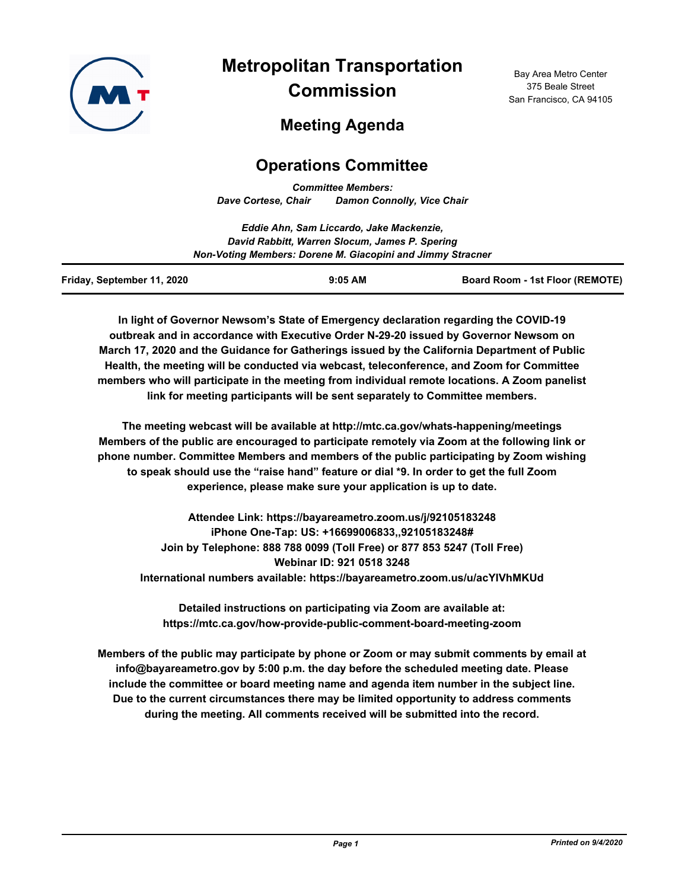

# **Metropolitan Transportation Commission**

Bay Area Metro Center 375 Beale Street San Francisco, CA 94105

# **Meeting Agenda**

## **Operations Committee**

*Committee Members: Dave Cortese, Chair Damon Connolly, Vice Chair*

|                            | Eddie Ahn, Sam Liccardo, Jake Mackenzie,                   |                                        |  |
|----------------------------|------------------------------------------------------------|----------------------------------------|--|
|                            | David Rabbitt, Warren Slocum, James P. Spering             |                                        |  |
|                            | Non-Voting Members: Dorene M. Giacopini and Jimmy Stracner |                                        |  |
| Friday, September 11, 2020 | $9:05$ AM                                                  | <b>Board Room - 1st Floor (REMOTE)</b> |  |

**In light of Governor Newsom's State of Emergency declaration regarding the COVID-19 outbreak and in accordance with Executive Order N-29-20 issued by Governor Newsom on March 17, 2020 and the Guidance for Gatherings issued by the California Department of Public Health, the meeting will be conducted via webcast, teleconference, and Zoom for Committee members who will participate in the meeting from individual remote locations. A Zoom panelist link for meeting participants will be sent separately to Committee members.**

**The meeting webcast will be available at http://mtc.ca.gov/whats-happening/meetings Members of the public are encouraged to participate remotely via Zoom at the following link or phone number. Committee Members and members of the public participating by Zoom wishing to speak should use the "raise hand" feature or dial \*9. In order to get the full Zoom experience, please make sure your application is up to date.**

**Attendee Link: https://bayareametro.zoom.us/j/92105183248 iPhone One-Tap: US: +16699006833,,92105183248# Join by Telephone: 888 788 0099 (Toll Free) or 877 853 5247 (Toll Free) Webinar ID: 921 0518 3248 International numbers available: https://bayareametro.zoom.us/u/acYIVhMKUd**

**Detailed instructions on participating via Zoom are available at: https://mtc.ca.gov/how-provide-public-comment-board-meeting-zoom**

**Members of the public may participate by phone or Zoom or may submit comments by email at info@bayareametro.gov by 5:00 p.m. the day before the scheduled meeting date. Please include the committee or board meeting name and agenda item number in the subject line. Due to the current circumstances there may be limited opportunity to address comments during the meeting. All comments received will be submitted into the record.**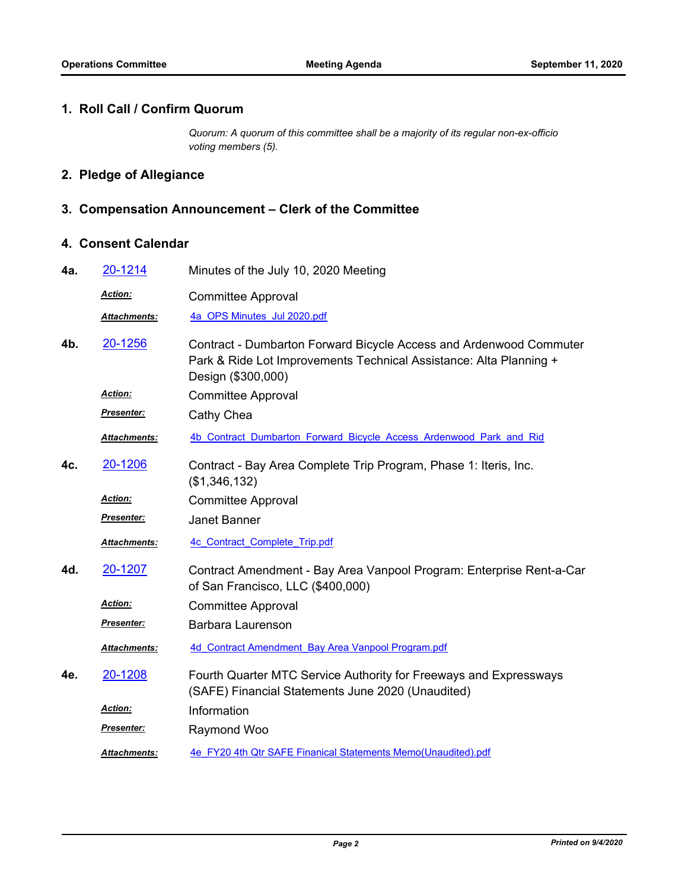#### **1. Roll Call / Confirm Quorum**

*Quorum: A quorum of this committee shall be a majority of its regular non-ex-officio voting members (5).*

### **2. Pledge of Allegiance**

#### **3. Compensation Announcement – Clerk of the Committee**

#### **4. Consent Calendar**

| 4a. | 20-1214              | Minutes of the July 10, 2020 Meeting                                                                                                                           |
|-----|----------------------|----------------------------------------------------------------------------------------------------------------------------------------------------------------|
|     | Action:              | <b>Committee Approval</b>                                                                                                                                      |
|     | Attachments:         | 4a OPS Minutes Jul 2020.pdf                                                                                                                                    |
| 4b. | 20-1256              | Contract - Dumbarton Forward Bicycle Access and Ardenwood Commuter<br>Park & Ride Lot Improvements Technical Assistance: Alta Planning +<br>Design (\$300,000) |
|     | Action:              | <b>Committee Approval</b>                                                                                                                                      |
|     | Presenter:           | Cathy Chea                                                                                                                                                     |
|     | Attachments:         | 4b Contract Dumbarton Forward Bicycle Access Ardenwood Park and Rid                                                                                            |
| 4c. | 20-1206              | Contract - Bay Area Complete Trip Program, Phase 1: Iteris, Inc.<br>(\$1,346,132)                                                                              |
|     | Action:              | <b>Committee Approval</b>                                                                                                                                      |
|     | <u> Presenter:</u>   | <b>Janet Banner</b>                                                                                                                                            |
|     | Attachments:         | 4c Contract Complete Trip.pdf                                                                                                                                  |
| 4d. | 20-1207              | Contract Amendment - Bay Area Vanpool Program: Enterprise Rent-a-Car<br>of San Francisco, LLC (\$400,000)                                                      |
|     | Action:              | <b>Committee Approval</b>                                                                                                                                      |
|     | Presenter:           | <b>Barbara Laurenson</b>                                                                                                                                       |
|     | Attachments:         | 4d Contract Amendment Bay Area Vanpool Program.pdf                                                                                                             |
| 4e. | 20-1208              | Fourth Quarter MTC Service Authority for Freeways and Expressways<br>(SAFE) Financial Statements June 2020 (Unaudited)                                         |
|     | Action:              | Information                                                                                                                                                    |
|     | Presenter:           | Raymond Woo                                                                                                                                                    |
|     | <u> Attachments:</u> | 4e FY20 4th Qtr SAFE Finanical Statements Memo(Unaudited).pdf                                                                                                  |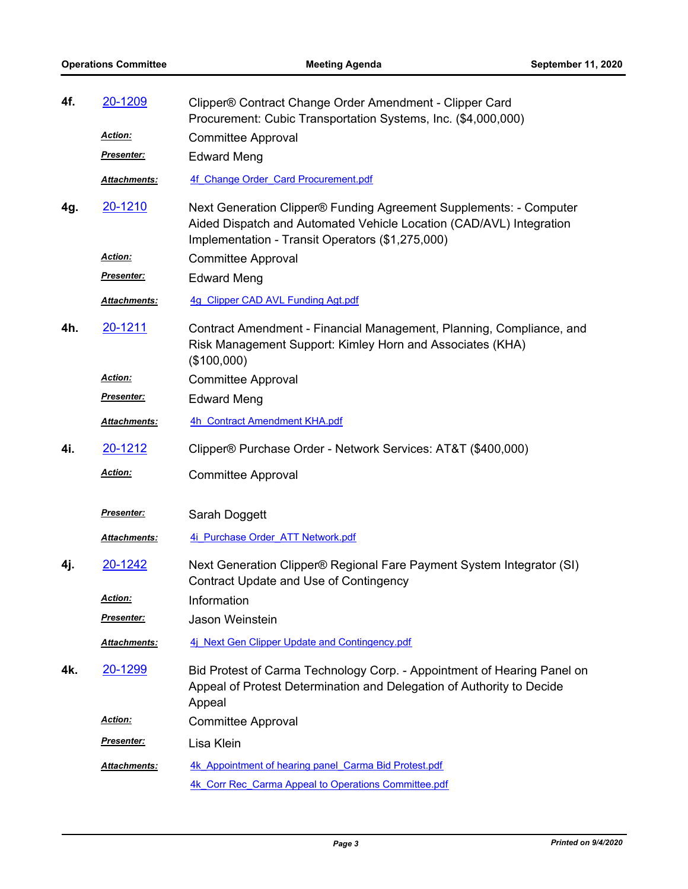| 4f. | 20-1209           | Clipper® Contract Change Order Amendment - Clipper Card<br>Procurement: Cubic Transportation Systems, Inc. (\$4,000,000)                                                                      |
|-----|-------------------|-----------------------------------------------------------------------------------------------------------------------------------------------------------------------------------------------|
|     | Action:           | <b>Committee Approval</b>                                                                                                                                                                     |
|     | <u>Presenter:</u> | <b>Edward Meng</b>                                                                                                                                                                            |
|     | Attachments:      | 4f Change Order Card Procurement.pdf                                                                                                                                                          |
| 4g. | <u>20-1210</u>    | Next Generation Clipper® Funding Agreement Supplements: - Computer<br>Aided Dispatch and Automated Vehicle Location (CAD/AVL) Integration<br>Implementation - Transit Operators (\$1,275,000) |
|     | Action:           | <b>Committee Approval</b>                                                                                                                                                                     |
|     | <u>Presenter:</u> | <b>Edward Meng</b>                                                                                                                                                                            |
|     | Attachments:      | 4g Clipper CAD AVL Funding Agt.pdf                                                                                                                                                            |
| 4h. | 20-1211           | Contract Amendment - Financial Management, Planning, Compliance, and<br>Risk Management Support: Kimley Horn and Associates (KHA)<br>(\$100,000)                                              |
|     | Action:           | <b>Committee Approval</b>                                                                                                                                                                     |
|     | <b>Presenter:</b> | <b>Edward Meng</b>                                                                                                                                                                            |
|     | Attachments:      | 4h Contract Amendment KHA.pdf                                                                                                                                                                 |
| 4i. | 20-1212           | Clipper® Purchase Order - Network Services: AT&T (\$400,000)                                                                                                                                  |
|     | Action:           | <b>Committee Approval</b>                                                                                                                                                                     |
|     | Presenter:        | Sarah Doggett                                                                                                                                                                                 |
|     | Attachments:      | 4i Purchase Order ATT Network.pdf                                                                                                                                                             |
| 4j. | 20-1242           | Next Generation Clipper® Regional Fare Payment System Integrator (SI)<br>Contract Update and Use of Contingency                                                                               |
|     | <u> Action:</u>   | Information                                                                                                                                                                                   |
|     | Presenter:        | Jason Weinstein                                                                                                                                                                               |
|     | Attachments:      | 4j Next Gen Clipper Update and Contingency.pdf                                                                                                                                                |
| 4k. | <u>20-1299</u>    | Bid Protest of Carma Technology Corp. - Appointment of Hearing Panel on<br>Appeal of Protest Determination and Delegation of Authority to Decide<br>Appeal                                    |
|     | <u>Action:</u>    | <b>Committee Approval</b>                                                                                                                                                                     |
|     | Presenter:        | Lisa Klein                                                                                                                                                                                    |
|     | Attachments:      | 4k Appointment of hearing panel Carma Bid Protest.pdf                                                                                                                                         |
|     |                   | 4k Corr Rec Carma Appeal to Operations Committee.pdf                                                                                                                                          |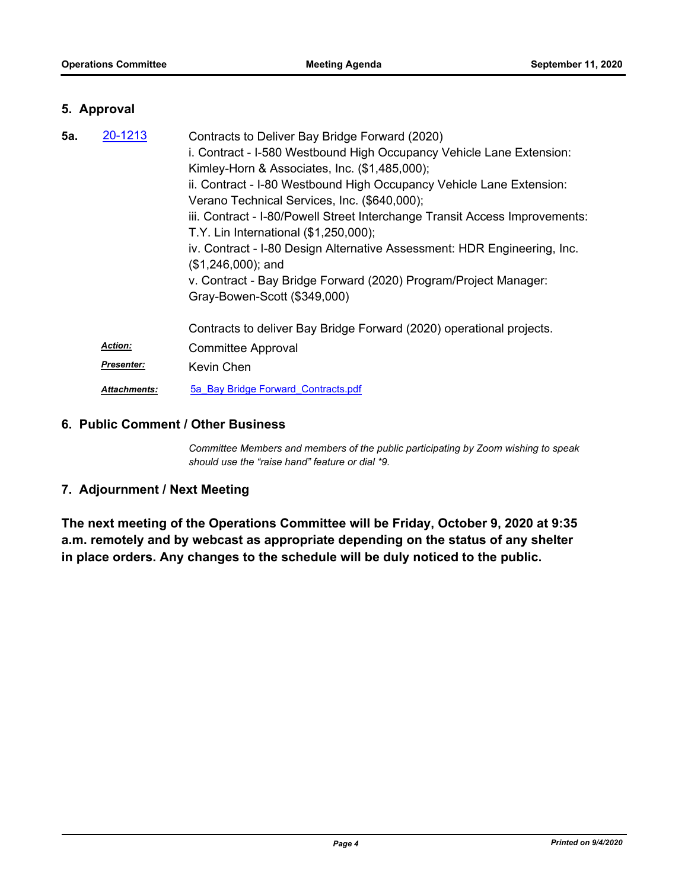#### **5. Approval**

| 5а. | 20-1213             | Contracts to Deliver Bay Bridge Forward (2020)                              |
|-----|---------------------|-----------------------------------------------------------------------------|
|     |                     | i. Contract - I-580 Westbound High Occupancy Vehicle Lane Extension:        |
|     |                     | Kimley-Horn & Associates, Inc. (\$1,485,000);                               |
|     |                     | ii. Contract - I-80 Westbound High Occupancy Vehicle Lane Extension:        |
|     |                     | Verano Technical Services, Inc. (\$640,000);                                |
|     |                     | iii. Contract - I-80/Powell Street Interchange Transit Access Improvements: |
|     |                     | T.Y. Lin International (\$1,250,000);                                       |
|     |                     | iv. Contract - I-80 Design Alternative Assessment: HDR Engineering, Inc.    |
|     |                     | $($1,246,000);$ and                                                         |
|     |                     | v. Contract - Bay Bridge Forward (2020) Program/Project Manager:            |
|     |                     | Gray-Bowen-Scott (\$349,000)                                                |
|     |                     |                                                                             |
|     |                     | Contracts to deliver Bay Bridge Forward (2020) operational projects.        |
|     | <b>Action:</b>      | <b>Committee Approval</b>                                                   |
|     | <b>Presenter:</b>   | Kevin Chen                                                                  |
|     | <b>Attachments:</b> | 5a Bay Bridge Forward Contracts.pdf                                         |

#### **6. Public Comment / Other Business**

*Committee Members and members of the public participating by Zoom wishing to speak should use the "raise hand" feature or dial \*9.*

### **7. Adjournment / Next Meeting**

**The next meeting of the Operations Committee will be Friday, October 9, 2020 at 9:35 a.m. remotely and by webcast as appropriate depending on the status of any shelter in place orders. Any changes to the schedule will be duly noticed to the public.**